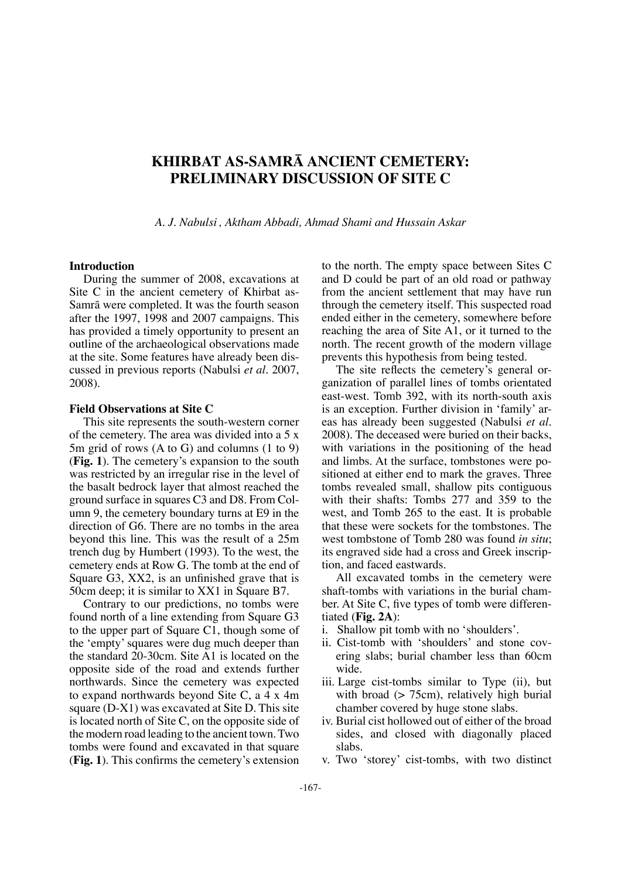# **KHIRBAT AS-SAMRÅ ANCIENT CEMETERY: PRELIMINARY DISCUSSION OF SITE C**

*A. J. Nabulsi , Aktham Abbadi, Ahmad Shami and Hussain Askar*

#### **Introduction**

During the summer of 2008, excavations at Site C in the ancient cemetery of Khirbat as-Samrå were completed. It was the fourth season after the 1997, 1998 and 2007 campaigns. This has provided a timely opportunity to present an outline of the archaeological observations made at the site. Some features have already been discussed in previous reports (Nabulsi *et al*. 2007, 2008).

#### **Field Observations at Site C**

This site represents the south-western corner of the cemetery. The area was divided into a 5 x 5m grid of rows (A to G) and columns (1 to 9) (**Fig. 1**). The cemetery's expansion to the south was restricted by an irregular rise in the level of the basalt bedrock layer that almost reached the ground surface in squares C3 and D8. From Column 9, the cemetery boundary turns at E9 in the direction of G6. There are no tombs in the area beyond this line. This was the result of a 25m trench dug by Humbert (1993). To the west, the cemetery ends at Row G. The tomb at the end of Square G3, XX2, is an unfnished grave that is 50cm deep; it is similar to XX1 in Square B7.

Contrary to our predictions, no tombs were found north of a line extending from Square G3 to the upper part of Square C1, though some of the 'empty' squares were dug much deeper than the standard 20-30cm. Site A1 is located on the opposite side of the road and extends further northwards. Since the cemetery was expected to expand northwards beyond Site C, a 4 x 4m square (D-X1) was excavated at Site D. This site is located north of Site C, on the opposite side of the modern road leading to the ancient town. Two tombs were found and excavated in that square (**Fig. 1**). This confrms the cemetery's extension

to the north. The empty space between Sites C and D could be part of an old road or pathway from the ancient settlement that may have run through the cemetery itself. This suspected road ended either in the cemetery, somewhere before reaching the area of Site A1, or it turned to the north. The recent growth of the modern village prevents this hypothesis from being tested.

The site reflects the cemetery's general organization of parallel lines of tombs orientated east-west. Tomb 392, with its north-south axis is an exception. Further division in 'family' areas has already been suggested (Nabulsi *et al*. 2008). The deceased were buried on their backs, with variations in the positioning of the head and limbs. At the surface, tombstones were positioned at either end to mark the graves. Three tombs revealed small, shallow pits contiguous with their shafts: Tombs 277 and 359 to the west, and Tomb 265 to the east. It is probable that these were sockets for the tombstones. The west tombstone of Tomb 280 was found *in situ*; its engraved side had a cross and Greek inscription, and faced eastwards.

All excavated tombs in the cemetery were shaft-tombs with variations in the burial chamber. At Site C, fve types of tomb were differentiated (**Fig. 2A**):

- i. Shallow pit tomb with no 'shoulders'.
- ii. Cist-tomb with 'shoulders' and stone covering slabs; burial chamber less than 60cm wide.
- iii. Large cist-tombs similar to Type (ii), but with broad (> 75cm), relatively high burial chamber covered by huge stone slabs.
- iv. Burial cist hollowed out of either of the broad sides, and closed with diagonally placed slabs.
- v. Two 'storey' cist-tombs, with two distinct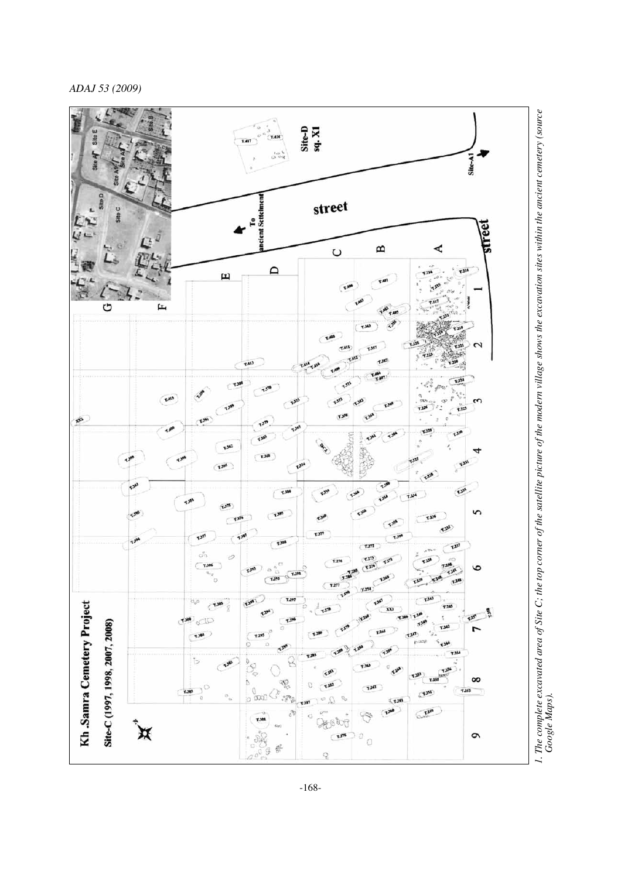*ADAJ 53 (2009)* 



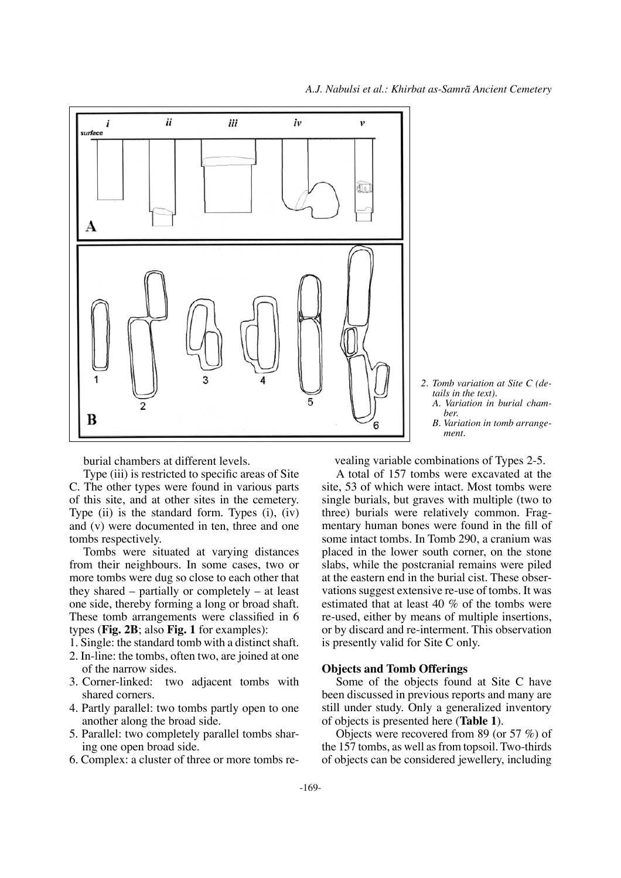

*A. Variation in burial chamber. B. Variation in tomb arrange- ment.*

burial chambers at different levels.

Type (iii) is restricted to specifc areas of Site C. The other types were found in various parts of this site, and at other sites in the cemetery. Type (ii) is the standard form. Types (i), (iv) and (v) were documented in ten, three and one tombs respectively.

Tombs were situated at varying distances from their neighbours. In some cases, two or more tombs were dug so close to each other that they shared – partially or completely – at least one side, thereby forming a long or broad shaft. These tomb arrangements were classifed in 6 types (**Fig. 2B**; also **Fig. 1** for examples):

- 1. Single: the standard tomb with a distinct shaft.
- 2. In-line: the tombs, often two, are joined at one of the narrow sides.
- 3. Corner-linked: two adjacent tombs with shared corners.
- 4. Partly parallel: two tombs partly open to one another along the broad side.
- 5. Parallel: two completely parallel tombs sharing one open broad side.
- 6. Complex: a cluster of three or more tombs re-

vealing variable combinations of Types 2-5.

A total of 157 tombs were excavated at the site, 53 of which were intact. Most tombs were single burials, but graves with multiple (two to three) burials were relatively common. Fragmentary human bones were found in the fll of some intact tombs. In Tomb 290, a cranium was placed in the lower south corner, on the stone slabs, while the postcranial remains were piled at the eastern end in the burial cist. These observations suggest extensive re-use of tombs. It was estimated that at least 40 % of the tombs were re-used, either by means of multiple insertions, or by discard and re-interment. This observation is presently valid for Site C only.

# **Objects and Tomb Offerings**

Some of the objects found at Site C have been discussed in previous reports and many are still under study. Only a generalized inventory of objects is presented here (**Table 1**).

Objects were recovered from 89 (or 57 %) of the 157 tombs, as well as from topsoil. Two-thirds of objects can be considered jewellery, including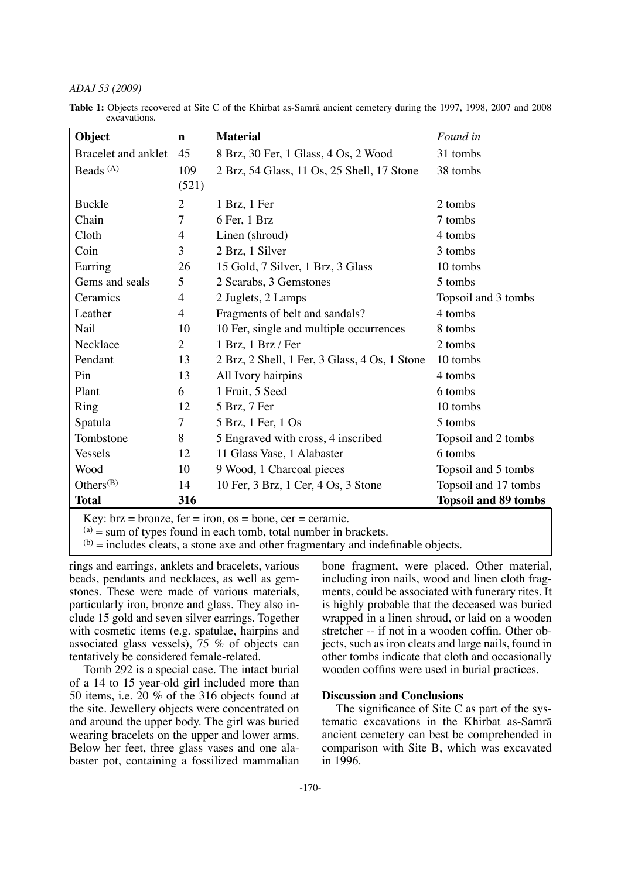## *ADAJ 53 (2009)*

**Table 1:** Objects recovered at Site C of the Khirbat as-Samrå ancient cemetery during the 1997, 1998, 2007 and 2008 excavations.

| Object               | $\mathbf n$    | <b>Material</b>                               | Found in                    |
|----------------------|----------------|-----------------------------------------------|-----------------------------|
| Bracelet and anklet  | 45             | 8 Brz, 30 Fer, 1 Glass, 4 Os, 2 Wood          | 31 tombs                    |
| Beads <sup>(A)</sup> | 109            | 2 Brz, 54 Glass, 11 Os, 25 Shell, 17 Stone    | 38 tombs                    |
|                      | (521)          |                                               |                             |
| <b>Buckle</b>        | $\overline{2}$ | 1 Brz, 1 Fer                                  | 2 tombs                     |
| Chain                | $\tau$         | 6 Fer, 1 Brz                                  | 7 tombs                     |
| Cloth                | 4              | Linen (shroud)                                | 4 tombs                     |
| Coin                 | 3              | 2 Brz, 1 Silver                               | 3 tombs                     |
| Earring              | 26             | 15 Gold, 7 Silver, 1 Brz, 3 Glass             | 10 tombs                    |
| Gems and seals       | 5              | 2 Scarabs, 3 Gemstones                        | 5 tombs                     |
| Ceramics             | $\overline{4}$ | 2 Juglets, 2 Lamps                            | Topsoil and 3 tombs         |
| Leather              | $\overline{4}$ | Fragments of belt and sandals?                | 4 tombs                     |
| Nail                 | 10             | 10 Fer, single and multiple occurrences       | 8 tombs                     |
| Necklace             | $\overline{2}$ | 1 Brz, 1 Brz / Fer                            | 2 tombs                     |
| Pendant              | 13             | 2 Brz, 2 Shell, 1 Fer, 3 Glass, 4 Os, 1 Stone | 10 tombs                    |
| Pin                  | 13             | All Ivory hairpins                            | 4 tombs                     |
| Plant                | 6              | 1 Fruit, 5 Seed                               | 6 tombs                     |
| Ring                 | 12             | 5 Brz, 7 Fer                                  | 10 tombs                    |
| Spatula              | 7              | 5 Brz, 1 Fer, 1 Os                            | 5 tombs                     |
| Tombstone            | 8              | 5 Engraved with cross, 4 inscribed            | Topsoil and 2 tombs         |
| <b>Vessels</b>       | 12             | 11 Glass Vase, 1 Alabaster                    | 6 tombs                     |
| Wood                 | 10             | 9 Wood, 1 Charcoal pieces                     | Topsoil and 5 tombs         |
| Others $(B)$         | 14             | 10 Fer, 3 Brz, 1 Cer, 4 Os, 3 Stone           | Topsoil and 17 tombs        |
| <b>Total</b>         | 316            |                                               | <b>Topsoil and 89 tombs</b> |

Key:  $brz = bronze$ ,  $fer = iron$ ,  $os = bone$ ,  $cer = ceramic$ .

 $(a)$  = sum of types found in each tomb, total number in brackets.

 $(b)$  = includes cleats, a stone axe and other fragmentary and indefinable objects.

rings and earrings, anklets and bracelets, various beads, pendants and necklaces, as well as gemstones. These were made of various materials, particularly iron, bronze and glass. They also include 15 gold and seven silver earrings. Together with cosmetic items (e.g. spatulae, hairpins and associated glass vessels), 75 % of objects can tentatively be considered female-related.

Tomb 292 is a special case. The intact burial of a 14 to 15 year-old girl included more than 50 items, i.e. 20 % of the 316 objects found at the site. Jewellery objects were concentrated on and around the upper body. The girl was buried wearing bracelets on the upper and lower arms. Below her feet, three glass vases and one alabaster pot, containing a fossilized mammalian bone fragment, were placed. Other material, including iron nails, wood and linen cloth fragments, could be associated with funerary rites. It is highly probable that the deceased was buried wrapped in a linen shroud, or laid on a wooden stretcher -- if not in a wooden coffn. Other objects, such as iron cleats and large nails, found in other tombs indicate that cloth and occasionally wooden coffns were used in burial practices.

# **Discussion and Conclusions**

The signifcance of Site C as part of the systematic excavations in the Khirbat as-Samrå ancient cemetery can best be comprehended in comparison with Site B, which was excavated in 1996.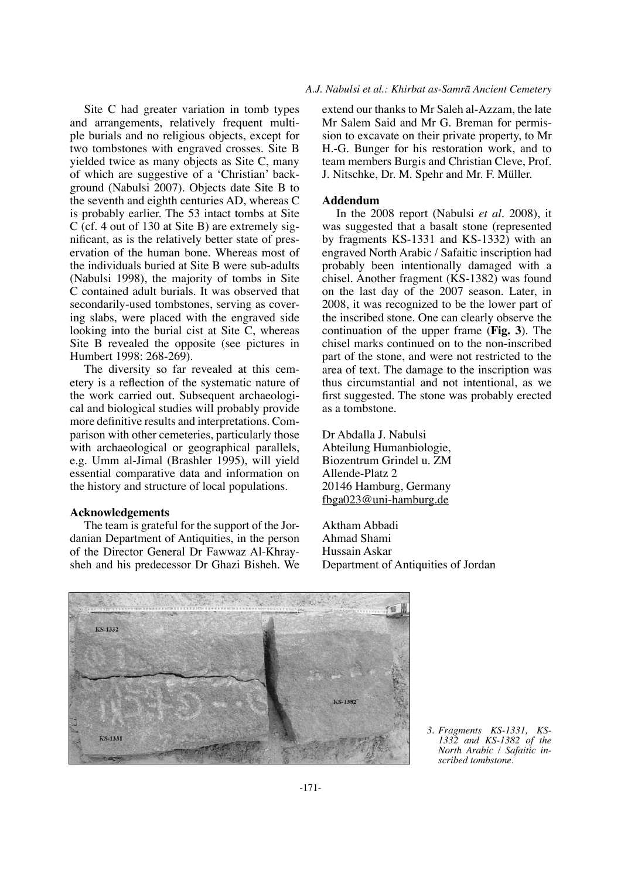Site C had greater variation in tomb types and arrangements, relatively frequent multiple burials and no religious objects, except for two tombstones with engraved crosses. Site B yielded twice as many objects as Site C, many of which are suggestive of a 'Christian' background (Nabulsi 2007). Objects date Site B to the seventh and eighth centuries AD, whereas C is probably earlier. The 53 intact tombs at Site C (cf. 4 out of 130 at Site B) are extremely signifcant, as is the relatively better state of preservation of the human bone. Whereas most of the individuals buried at Site B were sub-adults (Nabulsi 1998), the majority of tombs in Site C contained adult burials. It was observed that secondarily-used tombstones, serving as covering slabs, were placed with the engraved side looking into the burial cist at Site C, whereas Site B revealed the opposite (see pictures in Humbert 1998: 268-269).

The diversity so far revealed at this cemetery is a refection of the systematic nature of the work carried out. Subsequent archaeological and biological studies will probably provide more defnitive results and interpretations. Comparison with other cemeteries, particularly those with archaeological or geographical parallels, e.g. Umm al-Jimal (Brashler 1995), will yield essential comparative data and information on the history and structure of local populations.

### **Acknowledgements**

The team is grateful for the support of the Jordanian Department of Antiquities, in the person of the Director General Dr Fawwaz Al-Khraysheh and his predecessor Dr Ghazi Bisheh. We

#### *A.J. Nabulsi et al.: Khirbat as-Samrå Ancient Cemetery*

extend our thanks to Mr Saleh al-Azzam, the late Mr Salem Said and Mr G. Breman for permission to excavate on their private property, to Mr H.-G. Bunger for his restoration work, and to team members Burgis and Christian Cleve, Prof. J. Nitschke, Dr. M. Spehr and Mr. F. Müller.

#### **Addendum**

In the 2008 report (Nabulsi *et al*. 2008), it was suggested that a basalt stone (represented by fragments KS-1331 and KS-1332) with an engraved North Arabic / Safaitic inscription had probably been intentionally damaged with a chisel. Another fragment (KS-1382) was found on the last day of the 2007 season. Later, in 2008, it was recognized to be the lower part of the inscribed stone. One can clearly observe the continuation of the upper frame (**Fig. 3**). The chisel marks continued on to the non-inscribed part of the stone, and were not restricted to the area of text. The damage to the inscription was thus circumstantial and not intentional, as we frst suggested. The stone was probably erected as a tombstone.

Dr Abdalla J. Nabulsi Abteilung Humanbiologie, Biozentrum Grindel u. ZM Allende-Platz 2 20146 Hamburg, Germany fbga023@uni-hamburg.de

Aktham Abbadi Ahmad Shami Hussain Askar Department of Antiquities of Jordan



*3. Fragments KS-1331, KS-1332 and KS-1382 of the North Arabic / Safaitic in- scribed tombstone.*